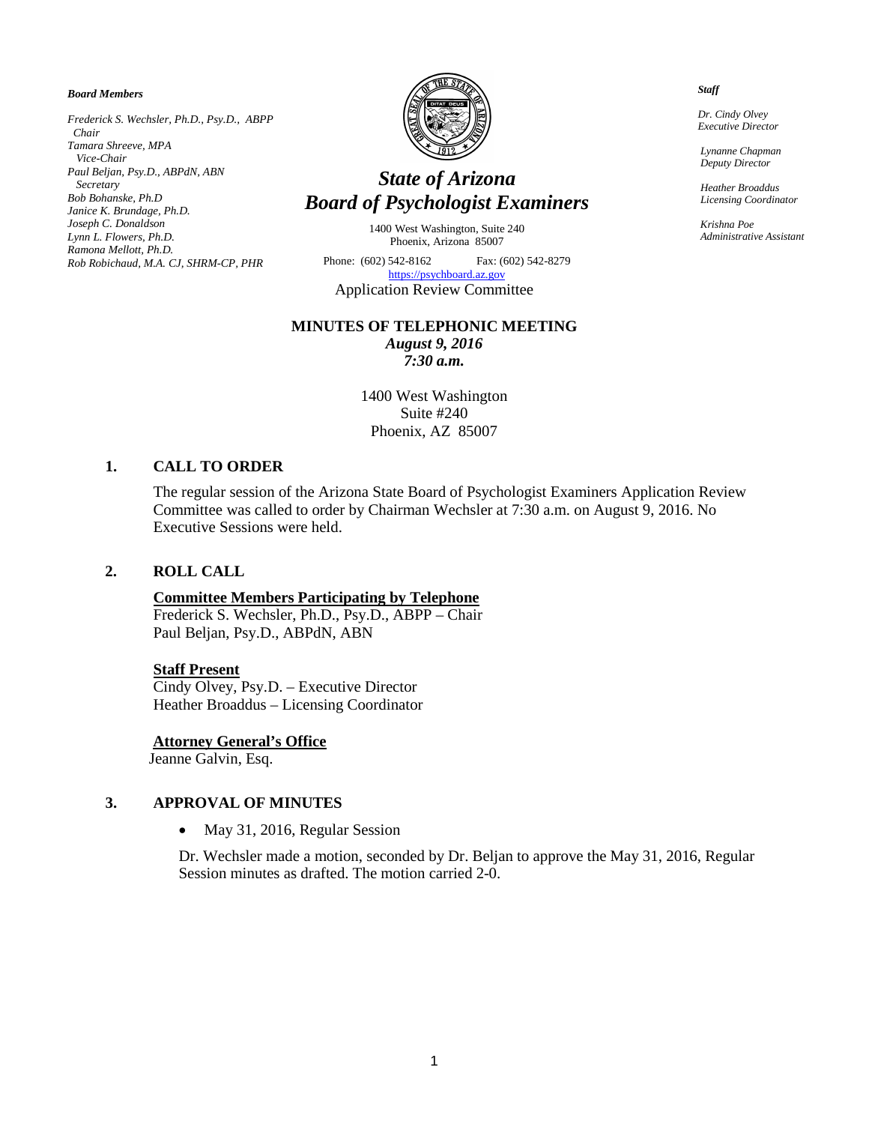#### *Board Members*

*Frederick S. Wechsler, Ph.D., Psy.D., ABPP Chair Tamara Shreeve, MPA Vice-Chair Paul Beljan, Psy.D., ABPdN, ABN Secretary Bob Bohanske, Ph.D Janice K. Brundage, Ph.D. Joseph C. Donaldson Lynn L. Flowers, Ph.D. Ramona Mellott, Ph.D. Rob Robichaud, M.A. CJ, SHRM-CP, PHR*



# *State of Arizona Board of Psychologist Examiners*

1400 West Washington, Suite 240 Phoenix, Arizona 85007

Phone: (602) 542-8162 Fax: (602) 542-8279 [https://psychboard.az.gov](https://psychboard.az.gov/)  Application Review Committee

# **MINUTES OF TELEPHONIC MEETING**

*August 9, 2016 7:30 a.m.*

1400 West Washington Suite #240 Phoenix, AZ 85007

#### **1. CALL TO ORDER**

The regular session of the Arizona State Board of Psychologist Examiners Application Review Committee was called to order by Chairman Wechsler at 7:30 a.m. on August 9, 2016. No Executive Sessions were held.

#### **2. ROLL CALL**

#### **Committee Members Participating by Telephone**

Frederick S. Wechsler, Ph.D., Psy.D., ABPP – Chair Paul Beljan, Psy.D., ABPdN, ABN

#### **Staff Present**

Cindy Olvey, Psy.D. – Executive Director Heather Broaddus – Licensing Coordinator

#### **Attorney General's Office**

Jeanne Galvin, Esq.

#### **3. APPROVAL OF MINUTES**

• May 31, 2016, Regular Session

Dr. Wechsler made a motion, seconded by Dr. Beljan to approve the May 31, 2016, Regular Session minutes as drafted. The motion carried 2-0.

#### *Staff*

 *Dr. Cindy Olvey Executive Director*

 *Lynanne Chapman Deputy Director*

 *Heather Broaddus Licensing Coordinator*

 *Krishna Poe Administrative Assistant*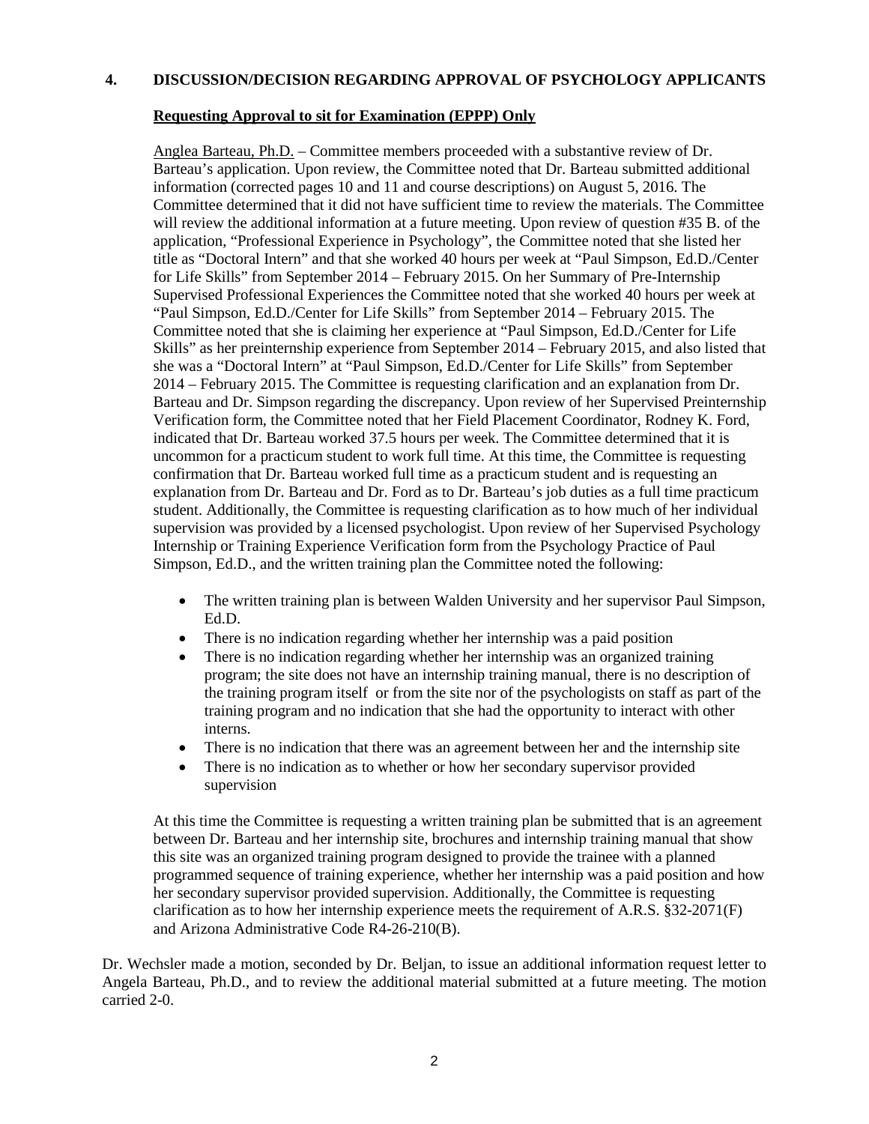#### **4. DISCUSSION/DECISION REGARDING APPROVAL OF PSYCHOLOGY APPLICANTS**

#### **Requesting Approval to sit for Examination (EPPP) Only**

Anglea Barteau, Ph.D. – Committee members proceeded with a substantive review of Dr. Barteau's application. Upon review, the Committee noted that Dr. Barteau submitted additional information (corrected pages 10 and 11 and course descriptions) on August 5, 2016. The Committee determined that it did not have sufficient time to review the materials. The Committee will review the additional information at a future meeting. Upon review of question #35 B. of the application, "Professional Experience in Psychology", the Committee noted that she listed her title as "Doctoral Intern" and that she worked 40 hours per week at "Paul Simpson, Ed.D./Center for Life Skills" from September 2014 – February 2015. On her Summary of Pre-Internship Supervised Professional Experiences the Committee noted that she worked 40 hours per week at "Paul Simpson, Ed.D./Center for Life Skills" from September 2014 – February 2015. The Committee noted that she is claiming her experience at "Paul Simpson, Ed.D./Center for Life Skills" as her preinternship experience from September 2014 – February 2015, and also listed that she was a "Doctoral Intern" at "Paul Simpson, Ed.D./Center for Life Skills" from September 2014 – February 2015. The Committee is requesting clarification and an explanation from Dr. Barteau and Dr. Simpson regarding the discrepancy. Upon review of her Supervised Preinternship Verification form, the Committee noted that her Field Placement Coordinator, Rodney K. Ford, indicated that Dr. Barteau worked 37.5 hours per week. The Committee determined that it is uncommon for a practicum student to work full time. At this time, the Committee is requesting confirmation that Dr. Barteau worked full time as a practicum student and is requesting an explanation from Dr. Barteau and Dr. Ford as to Dr. Barteau's job duties as a full time practicum student. Additionally, the Committee is requesting clarification as to how much of her individual supervision was provided by a licensed psychologist. Upon review of her Supervised Psychology Internship or Training Experience Verification form from the Psychology Practice of Paul Simpson, Ed.D., and the written training plan the Committee noted the following:

- The written training plan is between Walden University and her supervisor Paul Simpson, Ed.D.
- There is no indication regarding whether her internship was a paid position
- There is no indication regarding whether her internship was an organized training program; the site does not have an internship training manual, there is no description of the training program itself or from the site nor of the psychologists on staff as part of the training program and no indication that she had the opportunity to interact with other interns.
- There is no indication that there was an agreement between her and the internship site
- There is no indication as to whether or how her secondary supervisor provided supervision

At this time the Committee is requesting a written training plan be submitted that is an agreement between Dr. Barteau and her internship site, brochures and internship training manual that show this site was an organized training program designed to provide the trainee with a planned programmed sequence of training experience, whether her internship was a paid position and how her secondary supervisor provided supervision. Additionally, the Committee is requesting clarification as to how her internship experience meets the requirement of A.R.S. §32-2071(F) and Arizona Administrative Code R4-26-210(B).

Dr. Wechsler made a motion, seconded by Dr. Beljan, to issue an additional information request letter to Angela Barteau, Ph.D., and to review the additional material submitted at a future meeting. The motion carried 2-0.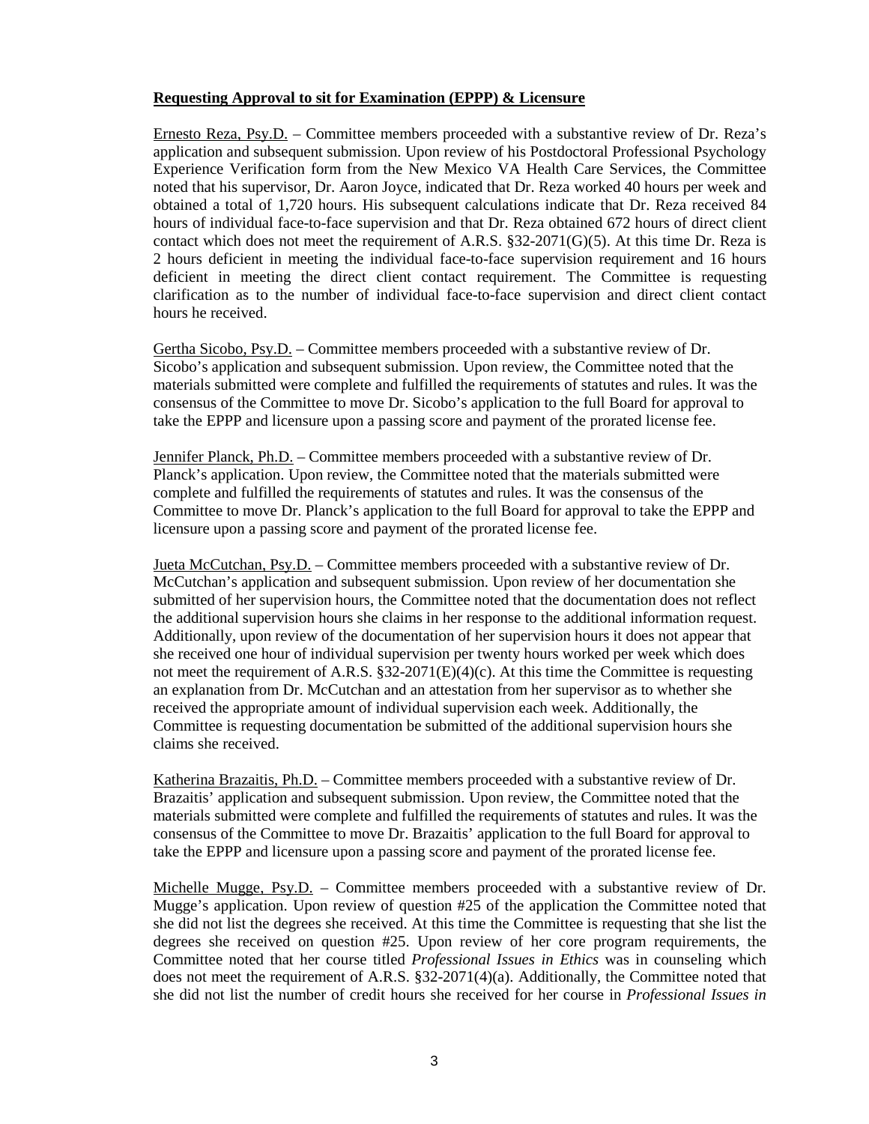# **Requesting Approval to sit for Examination (EPPP) & Licensure**

Ernesto Reza, Psy.D. – Committee members proceeded with a substantive review of Dr. Reza's application and subsequent submission. Upon review of his Postdoctoral Professional Psychology Experience Verification form from the New Mexico VA Health Care Services, the Committee noted that his supervisor, Dr. Aaron Joyce, indicated that Dr. Reza worked 40 hours per week and obtained a total of 1,720 hours. His subsequent calculations indicate that Dr. Reza received 84 hours of individual face-to-face supervision and that Dr. Reza obtained 672 hours of direct client contact which does not meet the requirement of A.R.S.  $\S 32-2071(G)(5)$ . At this time Dr. Reza is 2 hours deficient in meeting the individual face-to-face supervision requirement and 16 hours deficient in meeting the direct client contact requirement. The Committee is requesting clarification as to the number of individual face-to-face supervision and direct client contact hours he received.

Gertha Sicobo, Psy.D. – Committee members proceeded with a substantive review of Dr. Sicobo's application and subsequent submission. Upon review, the Committee noted that the materials submitted were complete and fulfilled the requirements of statutes and rules. It was the consensus of the Committee to move Dr. Sicobo's application to the full Board for approval to take the EPPP and licensure upon a passing score and payment of the prorated license fee.

Jennifer Planck, Ph.D. – Committee members proceeded with a substantive review of Dr. Planck's application. Upon review, the Committee noted that the materials submitted were complete and fulfilled the requirements of statutes and rules. It was the consensus of the Committee to move Dr. Planck's application to the full Board for approval to take the EPPP and licensure upon a passing score and payment of the prorated license fee.

Jueta McCutchan, Psy.D. – Committee members proceeded with a substantive review of Dr. McCutchan's application and subsequent submission. Upon review of her documentation she submitted of her supervision hours, the Committee noted that the documentation does not reflect the additional supervision hours she claims in her response to the additional information request. Additionally, upon review of the documentation of her supervision hours it does not appear that she received one hour of individual supervision per twenty hours worked per week which does not meet the requirement of A.R.S. §32-2071(E)(4)(c). At this time the Committee is requesting an explanation from Dr. McCutchan and an attestation from her supervisor as to whether she received the appropriate amount of individual supervision each week. Additionally, the Committee is requesting documentation be submitted of the additional supervision hours she claims she received.

Katherina Brazaitis, Ph.D. – Committee members proceeded with a substantive review of Dr. Brazaitis' application and subsequent submission. Upon review, the Committee noted that the materials submitted were complete and fulfilled the requirements of statutes and rules. It was the consensus of the Committee to move Dr. Brazaitis' application to the full Board for approval to take the EPPP and licensure upon a passing score and payment of the prorated license fee.

Michelle Mugge, Psy.D. – Committee members proceeded with a substantive review of Dr. Mugge's application. Upon review of question #25 of the application the Committee noted that she did not list the degrees she received. At this time the Committee is requesting that she list the degrees she received on question #25. Upon review of her core program requirements, the Committee noted that her course titled *Professional Issues in Ethics* was in counseling which does not meet the requirement of A.R.S. §32-2071(4)(a). Additionally, the Committee noted that she did not list the number of credit hours she received for her course in *Professional Issues in*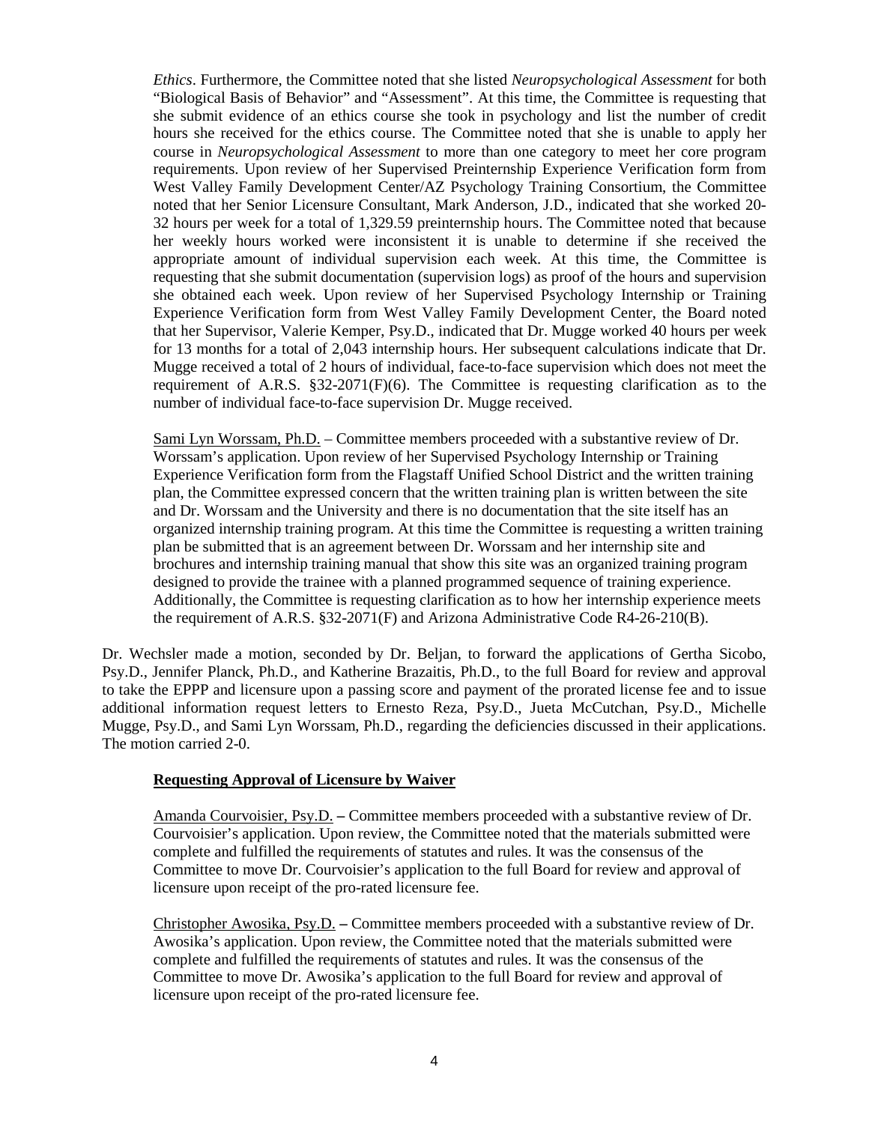*Ethics*. Furthermore, the Committee noted that she listed *Neuropsychological Assessment* for both "Biological Basis of Behavior" and "Assessment". At this time, the Committee is requesting that she submit evidence of an ethics course she took in psychology and list the number of credit hours she received for the ethics course. The Committee noted that she is unable to apply her course in *Neuropsychological Assessment* to more than one category to meet her core program requirements. Upon review of her Supervised Preinternship Experience Verification form from West Valley Family Development Center/AZ Psychology Training Consortium, the Committee noted that her Senior Licensure Consultant, Mark Anderson, J.D., indicated that she worked 20- 32 hours per week for a total of 1,329.59 preinternship hours. The Committee noted that because her weekly hours worked were inconsistent it is unable to determine if she received the appropriate amount of individual supervision each week. At this time, the Committee is requesting that she submit documentation (supervision logs) as proof of the hours and supervision she obtained each week. Upon review of her Supervised Psychology Internship or Training Experience Verification form from West Valley Family Development Center, the Board noted that her Supervisor, Valerie Kemper, Psy.D., indicated that Dr. Mugge worked 40 hours per week for 13 months for a total of 2,043 internship hours. Her subsequent calculations indicate that Dr. Mugge received a total of 2 hours of individual, face-to-face supervision which does not meet the requirement of A.R.S.  $\S 32-2071(F)(6)$ . The Committee is requesting clarification as to the number of individual face-to-face supervision Dr. Mugge received.

Sami Lyn Worssam, Ph.D. – Committee members proceeded with a substantive review of Dr. Worssam's application. Upon review of her Supervised Psychology Internship or Training Experience Verification form from the Flagstaff Unified School District and the written training plan, the Committee expressed concern that the written training plan is written between the site and Dr. Worssam and the University and there is no documentation that the site itself has an organized internship training program. At this time the Committee is requesting a written training plan be submitted that is an agreement between Dr. Worssam and her internship site and brochures and internship training manual that show this site was an organized training program designed to provide the trainee with a planned programmed sequence of training experience. Additionally, the Committee is requesting clarification as to how her internship experience meets the requirement of A.R.S. §32-2071(F) and Arizona Administrative Code R4-26-210(B).

Dr. Wechsler made a motion, seconded by Dr. Beljan, to forward the applications of Gertha Sicobo, Psy.D., Jennifer Planck, Ph.D., and Katherine Brazaitis, Ph.D., to the full Board for review and approval to take the EPPP and licensure upon a passing score and payment of the prorated license fee and to issue additional information request letters to Ernesto Reza, Psy.D., Jueta McCutchan, Psy.D., Michelle Mugge, Psy.D., and Sami Lyn Worssam, Ph.D., regarding the deficiencies discussed in their applications. The motion carried 2-0.

### **Requesting Approval of Licensure by Waiver**

Amanda Courvoisier, Psy.D. **–** Committee members proceeded with a substantive review of Dr. Courvoisier's application. Upon review, the Committee noted that the materials submitted were complete and fulfilled the requirements of statutes and rules. It was the consensus of the Committee to move Dr. Courvoisier's application to the full Board for review and approval of licensure upon receipt of the pro-rated licensure fee.

Christopher Awosika, Psy.D. **–** Committee members proceeded with a substantive review of Dr. Awosika's application. Upon review, the Committee noted that the materials submitted were complete and fulfilled the requirements of statutes and rules. It was the consensus of the Committee to move Dr. Awosika's application to the full Board for review and approval of licensure upon receipt of the pro-rated licensure fee.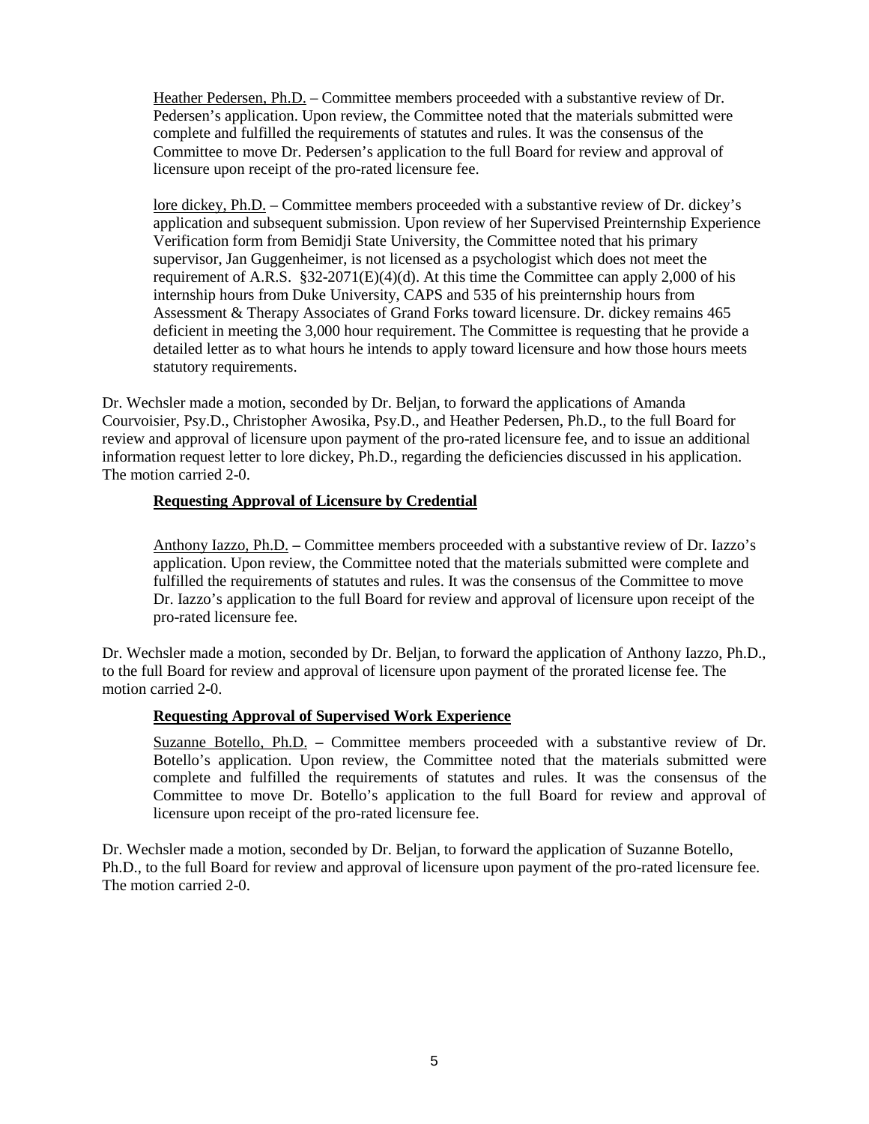Heather Pedersen, Ph.D. – Committee members proceeded with a substantive review of Dr. Pedersen's application. Upon review, the Committee noted that the materials submitted were complete and fulfilled the requirements of statutes and rules. It was the consensus of the Committee to move Dr. Pedersen's application to the full Board for review and approval of licensure upon receipt of the pro-rated licensure fee.

lore dickey, Ph.D. – Committee members proceeded with a substantive review of Dr. dickey's application and subsequent submission. Upon review of her Supervised Preinternship Experience Verification form from Bemidji State University, the Committee noted that his primary supervisor, Jan Guggenheimer, is not licensed as a psychologist which does not meet the requirement of A.R.S. §32-2071(E)(4)(d). At this time the Committee can apply 2,000 of his internship hours from Duke University, CAPS and 535 of his preinternship hours from Assessment & Therapy Associates of Grand Forks toward licensure. Dr. dickey remains 465 deficient in meeting the 3,000 hour requirement. The Committee is requesting that he provide a detailed letter as to what hours he intends to apply toward licensure and how those hours meets statutory requirements.

Dr. Wechsler made a motion, seconded by Dr. Beljan, to forward the applications of Amanda Courvoisier, Psy.D., Christopher Awosika, Psy.D., and Heather Pedersen, Ph.D., to the full Board for review and approval of licensure upon payment of the pro-rated licensure fee, and to issue an additional information request letter to lore dickey, Ph.D., regarding the deficiencies discussed in his application. The motion carried 2-0.

### **Requesting Approval of Licensure by Credential**

Anthony Iazzo, Ph.D. **–** Committee members proceeded with a substantive review of Dr. Iazzo's application. Upon review, the Committee noted that the materials submitted were complete and fulfilled the requirements of statutes and rules. It was the consensus of the Committee to move Dr. Iazzo's application to the full Board for review and approval of licensure upon receipt of the pro-rated licensure fee.

Dr. Wechsler made a motion, seconded by Dr. Beljan, to forward the application of Anthony Iazzo, Ph.D., to the full Board for review and approval of licensure upon payment of the prorated license fee. The motion carried 2-0.

# **Requesting Approval of Supervised Work Experience**

Suzanne Botello, Ph.D. **–** Committee members proceeded with a substantive review of Dr. Botello's application. Upon review, the Committee noted that the materials submitted were complete and fulfilled the requirements of statutes and rules. It was the consensus of the Committee to move Dr. Botello's application to the full Board for review and approval of licensure upon receipt of the pro-rated licensure fee.

Dr. Wechsler made a motion, seconded by Dr. Beljan, to forward the application of Suzanne Botello, Ph.D., to the full Board for review and approval of licensure upon payment of the pro-rated licensure fee. The motion carried 2-0.